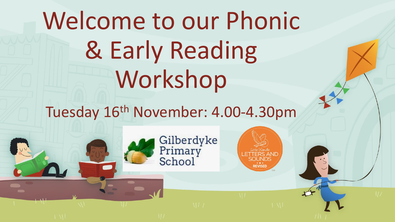Welcome to our Phonic & Early Reading Workshop

Tuesday 16th November: 4.00-4.30pm

Gilberdyke<br>Primary<br>School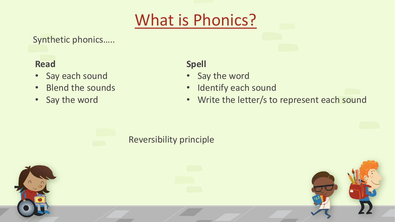# What is Phonics?

Synthetic phonics…..

### **Read**

- Say each sound
- Blend the sounds
- Say the word

### **Spell**

- Say the word
- Identify each sound
- Write the letter/s to represent each sound

### Reversibility principle

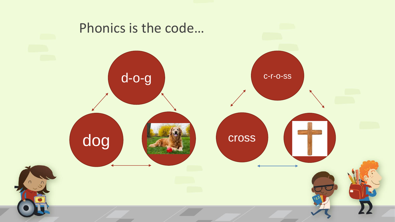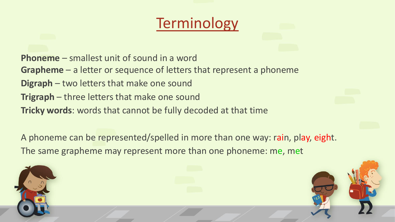### **Terminology**

**Phoneme** – smallest unit of sound in a word

**Grapheme** – a letter or sequence of letters that represent a phoneme

- **Digraph** two letters that make one sound
- **Trigraph** three letters that make one sound

**Tricky words**: words that cannot be fully decoded at that time

A phoneme can be represented/spelled in more than one way: rain, play, eight. The same grapheme may represent more than one phoneme: me, met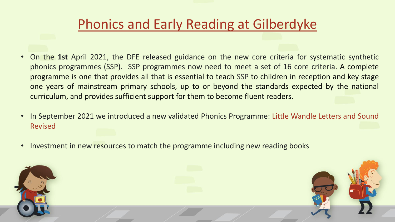### Phonics and Early Reading at Gilberdyke

- On the **1st** April 2021, the DFE released guidance on the new core criteria for systematic synthetic phonics programmes (SSP). SSP programmes now need to meet a set of 16 core criteria. A complete programme is one that provides all that is essential to teach SSP to children in reception and key stage one years of mainstream primary schools, up to or beyond the standards expected by the national curriculum, and provides sufficient support for them to become fluent readers.
- In September 2021 we introduced a new validated Phonics Programme: Little Wandle Letters and Sound Revised
- Investment in new resources to match the programme including new reading books

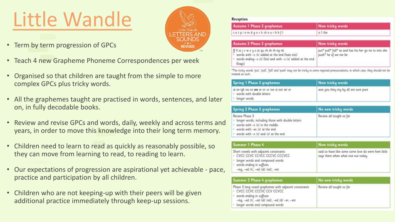# Little Wandle

- Term by term progression of GPCs
- Teach 4 new Grapheme Phoneme Correspondences per week
- Organised so that children are taught from the simple to more complex GPCs plus tricky words.
- All the graphemes taught are practised in words, sentences, and later on, in fully decodable books.
- Review and revise GPCs and words, daily, weekly and across terms and years, in order to move this knowledge into their long term memory.
- Children need to learn to read as quickly as reasonably possible, so they can move from learning to read, to reading to learn.
- Our expectations of progression are aspirational yet achievable pace, practice and participation by all children.
- Children who are not keeping-up with their peers will be given additional practice immediately through keep-up sessions.



#### **Reception**

| Autumn 1 Phase 2 graphemes | New tricky words |
|----------------------------|------------------|
| satpinmdgockckeurhbfl      | is I the         |

| Autumn 2 Phase 2 graphemes                                                                                                                                                  | New tricky words                                                              |
|-----------------------------------------------------------------------------------------------------------------------------------------------------------------------------|-------------------------------------------------------------------------------|
| ff II ss j v w x y z zz qu ch sh th ng nk<br>* words with -s /s/ added at the end (hats sits)<br>. words ending -- s /z/ (his) and with -- s /z/ added at the end<br>(bags) | put* pull* full* as and has his her go no to into she<br>push" he of we me be |

\*The tricky words 'put', 'pull', 'full and 'push' may not be tricky in some regional pronunciations, in which case, they should not t reated as such

| Spring 1 Phase 3 graphemes                                                                  | New tricky words                     |
|---------------------------------------------------------------------------------------------|--------------------------------------|
| ai ee igh oa oo oo ar or ur ow oi ear air er<br>words with double letters<br>+ longer words | was you they my by all are sure pure |

| Spring 2 Phase 3 graphemes                                                                                                                                                                | No new tricky words                                                                        |  |
|-------------------------------------------------------------------------------------------------------------------------------------------------------------------------------------------|--------------------------------------------------------------------------------------------|--|
| Review Phase 3<br>· longer words, including those with double letters<br>· words with -s /z/ in the middle<br>* words with -- es /z/ at the end<br>· words with -s /s/ and /z/ at the end | Review all taught so far                                                                   |  |
| Summer 1 Phase 4                                                                                                                                                                          | New tricky words                                                                           |  |
| Short vowels with adjacent consonants<br>· CVCC CCVC CCVCC CCCVC CCCVCC<br>a banan banannan han akanyi wanadi i                                                                           | said so have like some come love do were here little<br>says there when what one out today |  |

| and a state of the particle of the contract of contract the contract of the contract<br>· words ending in suffixes:<br>-ing, -ed /t/, -ed /id/ /ed/, -est                                                   |                          |  |
|-------------------------------------------------------------------------------------------------------------------------------------------------------------------------------------------------------------|--------------------------|--|
| Summer 2 Phase 4 graphemes                                                                                                                                                                                  | No new tricky words      |  |
| Phase 3 long vowel graphemes with adjacent consonants<br>· CVCC CCVC CCCVC CCV CCVCC<br>· words ending in suffixes:<br>-ing, -ed /t/, -ed /id/ /ed/, -ed /d/ -er, -est<br>· longer words and compound words | Review all taught so far |  |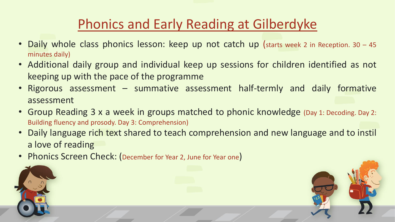### Phonics and Early Reading at Gilberdyke

- Daily whole class phonics lesson: keep up not catch up (starts week 2 in Reception. 30 45 minutes daily)
- Additional daily group and individual keep up sessions for children identified as not keeping up with the pace of the programme
- Rigorous assessment summative assessment half-termly and daily formative assessment
- Group Reading 3 x a week in groups matched to phonic knowledge (Day 1: Decoding. Day 2: Building fluency and prosody. Day 3: Comprehension)
- Daily language rich text shared to teach comprehension and new language and to instil a love of reading
- Phonics Screen Check: (December for Year 2, June for Year one)

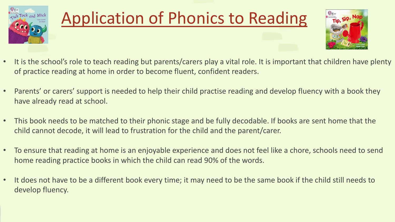

# Application of Phonics to Reading



- It is the school's role to teach reading but parents/carers play a vital role. It is important that children have plenty of practice reading at home in order to become fluent, confident readers.
- Parents' or carers' support is needed to help their child practise reading and develop fluency with a book they have already read at school.
- This book needs to be matched to their phonic stage and be fully decodable. If books are sent home that the child cannot decode, it will lead to frustration for the child and the parent/carer.
- To ensure that reading at home is an enjoyable experience and does not feel like a chore, schools need to send home reading practice books in which the child can read 90% of the words.
- It does not have to be a different book every time; it may need to be the same book if the child still needs to develop fluency.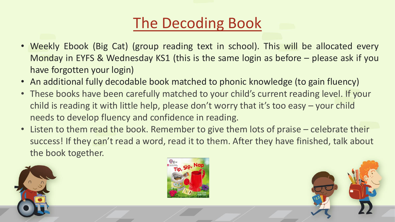## The Decoding Book

- Weekly Ebook (Big Cat) (group reading text in school). This will be allocated every Monday in EYFS & Wednesday KS1 (this is the same login as before – please ask if you have forgotten your login)
- An additional fully decodable book matched to phonic knowledge (to gain fluency)
- These books have been carefully matched to your child's current reading level. If your child is reading it with little help, please don't worry that it's too easy – your child needs to develop fluency and confidence in reading.
- Listen to them read the book. Remember to give them lots of praise celebrate their success! If they can't read a word, read it to them. After they have finished, talk about the book together.





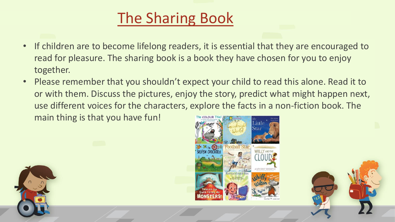## The Sharing Book

- If children are to become lifelong readers, it is essential that they are encouraged to read for pleasure. The sharing book is a book they have chosen for you to enjoy together.
- Please remember that you shouldn't expect your child to read this alone. Read it to or with them. Discuss the pictures, enjoy the story, predict what might happen next, use different voices for the characters, explore the facts in a non-fiction book. The main thing is that you have fun!





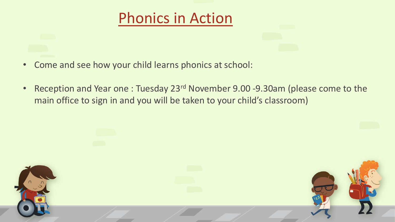### Phonics in Action

- Come and see how your child learns phonics at school:
- Reception and Year one : Tuesday 23<sup>rd</sup> November 9.00 -9.30am (please come to the main office to sign in and you will be taken to your child's classroom)